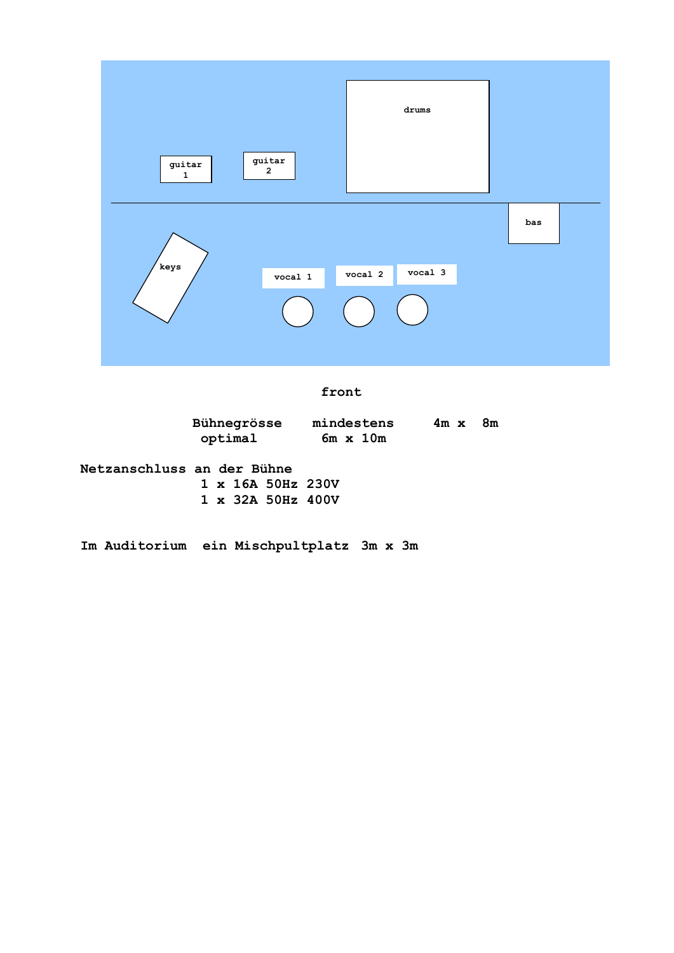

**front**

| Bühnegrösse | mindestens      | $4m \times$ | - 8m |
|-------------|-----------------|-------------|------|
| optimal     | $6m \times 10m$ |             |      |

| Netzanschluss an der Bühne |  |  |  |                          |  |
|----------------------------|--|--|--|--------------------------|--|
|                            |  |  |  | $1 \times 16A$ 50Hz 230V |  |
|                            |  |  |  | $1 \times 32A 50Hz 400V$ |  |

**Im Auditorium ein Mischpultplatz 3m x 3m**